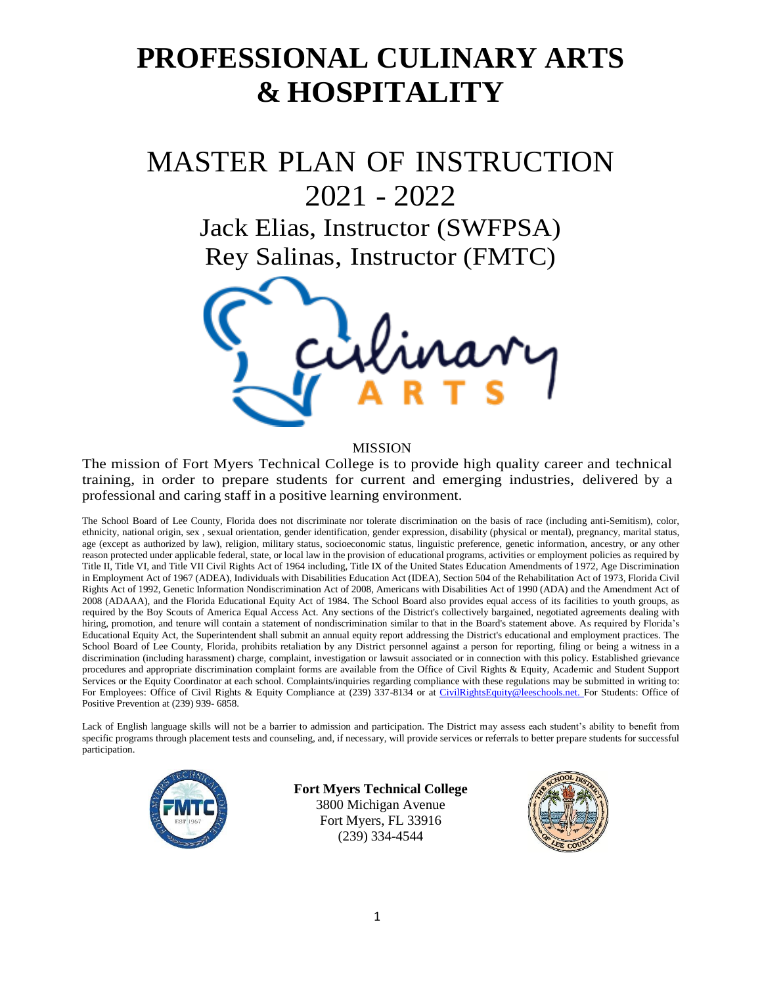# **PROFESSIONAL CULINARY ARTS & HOSPITALITY**

# MASTER PLAN OF INSTRUCTION 2021 - 2022

Jack Elias, Instructor (SWFPSA) Rey Salinas, Instructor (FMTC)



#### MISSION

The mission of Fort Myers Technical College is to provide high quality career and technical training, in order to prepare students for current and emerging industries, delivered by a professional and caring staff in a positive learning environment.

The School Board of Lee County, Florida does not discriminate nor tolerate discrimination on the basis of race (including anti-Semitism), color, ethnicity, national origin, sex , sexual orientation, gender identification, gender expression, disability (physical or mental), pregnancy, marital status, age (except as authorized by law), religion, military status, socioeconomic status, linguistic preference, genetic information, ancestry, or any other reason protected under applicable federal, state, or local law in the provision of educational programs, activities or employment policies as required by Title II, Title VI, and Title VII Civil Rights Act of 1964 including, Title IX of the United States Education Amendments of 1972, Age Discrimination in Employment Act of 1967 (ADEA), Individuals with Disabilities Education Act (IDEA), Section 504 of the Rehabilitation Act of 1973, Florida Civil Rights Act of 1992, Genetic Information Nondiscrimination Act of 2008, Americans with Disabilities Act of 1990 (ADA) and the Amendment Act of 2008 (ADAAA), and the Florida Educational Equity Act of 1984. The School Board also provides equal access of its facilities to youth groups, as required by the Boy Scouts of America Equal Access Act. Any sections of the District's collectively bargained, negotiated agreements dealing with hiring, promotion, and tenure will contain a statement of nondiscrimination similar to that in the Board's statement above. As required by Florida's Educational Equity Act, the Superintendent shall submit an annual equity report addressing the District's educational and employment practices. The School Board of Lee County, Florida, prohibits retaliation by any District personnel against a person for reporting, filing or being a witness in a discrimination (including harassment) charge, complaint, investigation or lawsuit associated or in connection with this policy. Established grievance procedures and appropriate discrimination complaint forms are available from the Office of Civil Rights & Equity, Academic and Student Support Services or the Equity Coordinator at each school. Complaints/inquiries regarding compliance with these regulations may be submitted in writing to: For Employees: Office of Civil Rights & Equity Compliance at (239) 337-8134 or at [CivilRightsEquity@leeschools.net. F](mailto:CivilRightsEquity@leeschools.net)or Students: Office of Positive Prevention at (239) 939- 6858.

Lack of English language skills will not be a barrier to admission and participation. The District may assess each student's ability to benefit from specific programs through placement tests and counseling, and, if necessary, will provide services or referrals to better prepare students for successful participation.



**Fort Myers Technical College** 3800 Michigan Avenue Fort Myers, FL 33916 (239) 334-4544

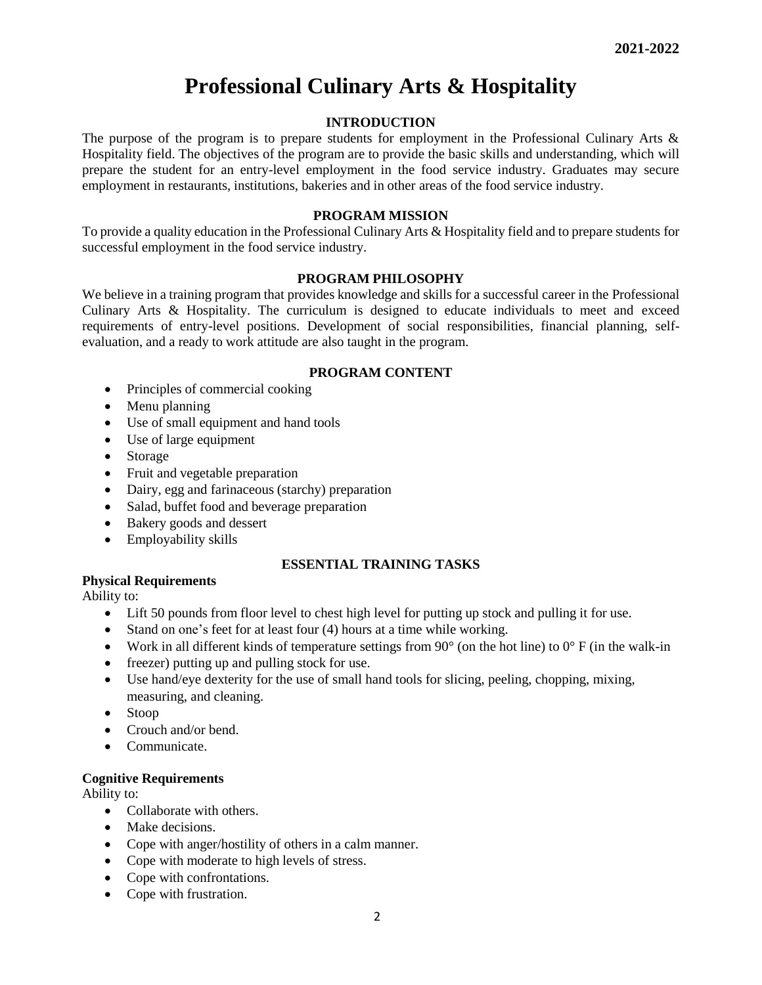# **Professional Culinary Arts & Hospitality**

# **INTRODUCTION**

The purpose of the program is to prepare students for employment in the Professional Culinary Arts & Hospitality field. The objectives of the program are to provide the basic skills and understanding, which will prepare the student for an entry-level employment in the food service industry. Graduates may secure employment in restaurants, institutions, bakeries and in other areas of the food service industry.

## **PROGRAM MISSION**

To provide a quality education in the Professional Culinary Arts & Hospitality field and to prepare students for successful employment in the food service industry.

# **PROGRAM PHILOSOPHY**

We believe in a training program that provides knowledge and skills for a successful career in the Professional Culinary Arts & Hospitality. The curriculum is designed to educate individuals to meet and exceed requirements of entry-level positions. Development of social responsibilities, financial planning, selfevaluation, and a ready to work attitude are also taught in the program.

# **PROGRAM CONTENT**

- Principles of commercial cooking
- Menu planning
- Use of small equipment and hand tools
- Use of large equipment
- **Storage**
- Fruit and vegetable preparation
- Dairy, egg and farinaceous (starchy) preparation
- Salad, buffet food and beverage preparation
- Bakery goods and dessert
- Employability skills

# **ESSENTIAL TRAINING TASKS**

**Physical Requirements**

Ability to:

- Lift 50 pounds from floor level to chest high level for putting up stock and pulling it for use.
- Stand on one's feet for at least four (4) hours at a time while working.
- Work in all different kinds of temperature settings from  $90^{\circ}$  (on the hot line) to  $0^{\circ}$  F (in the walk-in
- freezer) putting up and pulling stock for use.
- Use hand/eye dexterity for the use of small hand tools for slicing, peeling, chopping, mixing, measuring, and cleaning.
- Stoop
- Crouch and/or bend.
- Communicate.

# **Cognitive Requirements**

Ability to:

- Collaborate with others.
- Make decisions.
- Cope with anger/hostility of others in a calm manner.
- Cope with moderate to high levels of stress.
- Cope with confrontations.
- Cope with frustration.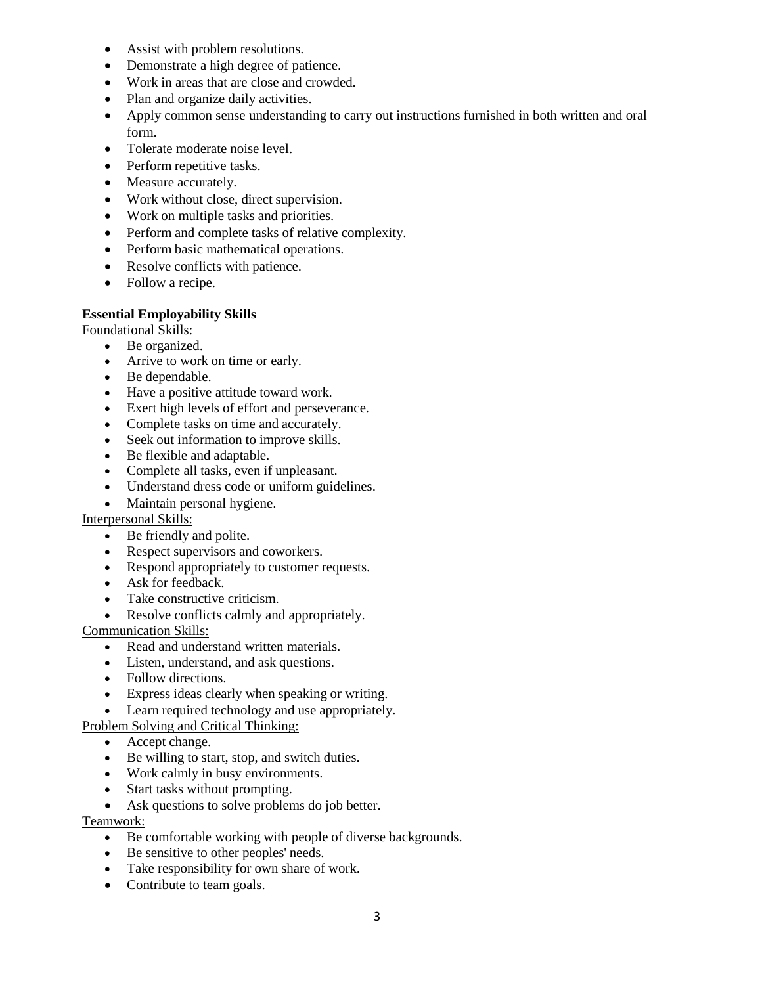- Assist with problem resolutions.
- Demonstrate a high degree of patience.
- Work in areas that are close and crowded.
- Plan and organize daily activities.
- Apply common sense understanding to carry out instructions furnished in both written and oral form.
- Tolerate moderate noise level.
- Perform repetitive tasks.
- Measure accurately.
- Work without close, direct supervision.
- Work on multiple tasks and priorities.
- Perform and complete tasks of relative complexity.
- Perform basic mathematical operations.
- Resolve conflicts with patience.
- Follow a recipe.

# **Essential Employability Skills**

Foundational Skills:

- Be organized.
- Arrive to work on time or early.
- Be dependable.
- Have a positive attitude toward work.
- Exert high levels of effort and perseverance.
- Complete tasks on time and accurately.
- Seek out information to improve skills.
- Be flexible and adaptable.
- Complete all tasks, even if unpleasant.
- Understand dress code or uniform guidelines.
- Maintain personal hygiene.

# Interpersonal Skills:

- Be friendly and polite.
- Respect supervisors and coworkers.
- Respond appropriately to customer requests.
- Ask for feedback.
- Take constructive criticism.
- Resolve conflicts calmly and appropriately.

Communication Skills:

- Read and understand written materials.
- Listen, understand, and ask questions.
- Follow directions.
- Express ideas clearly when speaking or writing.
- Learn required technology and use appropriately.

# Problem Solving and Critical Thinking:

- Accept change.
- Be willing to start, stop, and switch duties.
- Work calmly in busy environments.
- Start tasks without prompting.
- Ask questions to solve problems do job better.

# Teamwork:

- Be comfortable working with people of diverse backgrounds.
- Be sensitive to other peoples' needs.
- Take responsibility for own share of work.
- Contribute to team goals.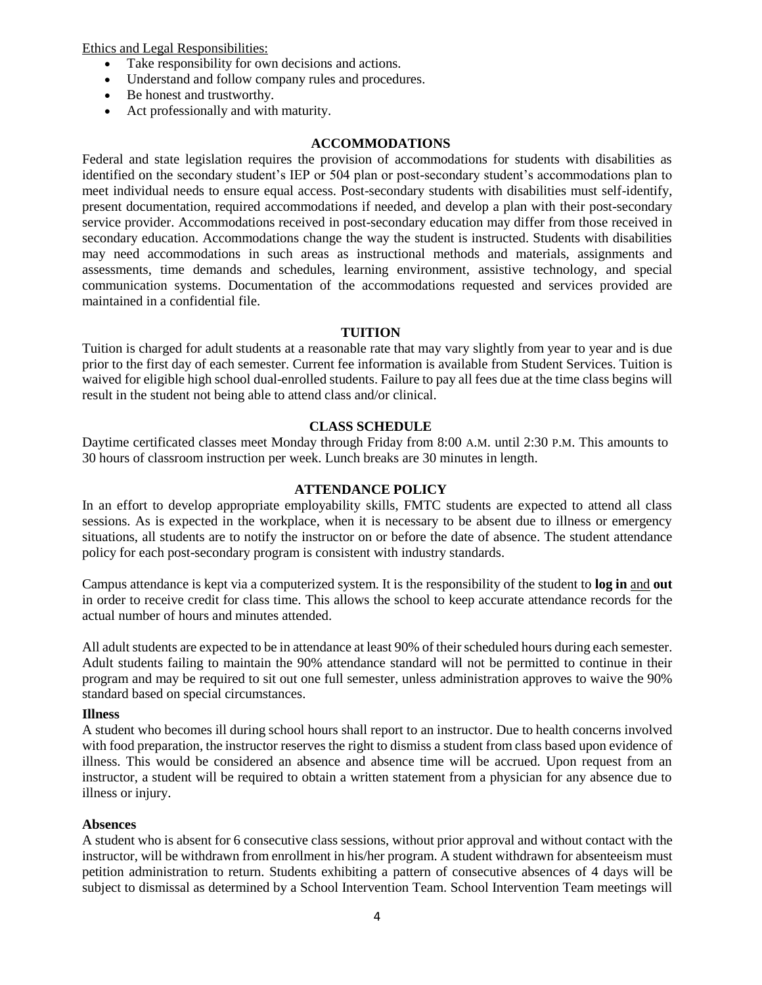Ethics and Legal Responsibilities:

- Take responsibility for own decisions and actions.
- Understand and follow company rules and procedures.
- Be honest and trustworthy.
- Act professionally and with maturity.

#### **ACCOMMODATIONS**

Federal and state legislation requires the provision of accommodations for students with disabilities as identified on the secondary student's IEP or 504 plan or post-secondary student's accommodations plan to meet individual needs to ensure equal access. Post-secondary students with disabilities must self-identify, present documentation, required accommodations if needed, and develop a plan with their post-secondary service provider. Accommodations received in post-secondary education may differ from those received in secondary education. Accommodations change the way the student is instructed. Students with disabilities may need accommodations in such areas as instructional methods and materials, assignments and assessments, time demands and schedules, learning environment, assistive technology, and special communication systems. Documentation of the accommodations requested and services provided are maintained in a confidential file.

#### **TUITION**

Tuition is charged for adult students at a reasonable rate that may vary slightly from year to year and is due prior to the first day of each semester. Current fee information is available from Student Services. Tuition is waived for eligible high school dual-enrolled students. Failure to pay all fees due at the time class begins will result in the student not being able to attend class and/or clinical.

#### **CLASS SCHEDULE**

Daytime certificated classes meet Monday through Friday from 8:00 A.M. until 2:30 P.M. This amounts to 30 hours of classroom instruction per week. Lunch breaks are 30 minutes in length.

#### **ATTENDANCE POLICY**

In an effort to develop appropriate employability skills, FMTC students are expected to attend all class sessions. As is expected in the workplace, when it is necessary to be absent due to illness or emergency situations, all students are to notify the instructor on or before the date of absence. The student attendance policy for each post-secondary program is consistent with industry standards.

Campus attendance is kept via a computerized system. It is the responsibility of the student to **log in** and **out**  in order to receive credit for class time. This allows the school to keep accurate attendance records for the actual number of hours and minutes attended.

All adult students are expected to be in attendance at least 90% of their scheduled hours during each semester. Adult students failing to maintain the 90% attendance standard will not be permitted to continue in their program and may be required to sit out one full semester, unless administration approves to waive the 90% standard based on special circumstances.

#### **Illness**

A student who becomes ill during school hours shall report to an instructor. Due to health concerns involved with food preparation, the instructor reserves the right to dismiss a student from class based upon evidence of illness. This would be considered an absence and absence time will be accrued. Upon request from an instructor, a student will be required to obtain a written statement from a physician for any absence due to illness or injury.

#### **Absences**

A student who is absent for 6 consecutive class sessions, without prior approval and without contact with the instructor, will be withdrawn from enrollment in his/her program. A student withdrawn for absenteeism must petition administration to return. Students exhibiting a pattern of consecutive absences of 4 days will be subject to dismissal as determined by a School Intervention Team. School Intervention Team meetings will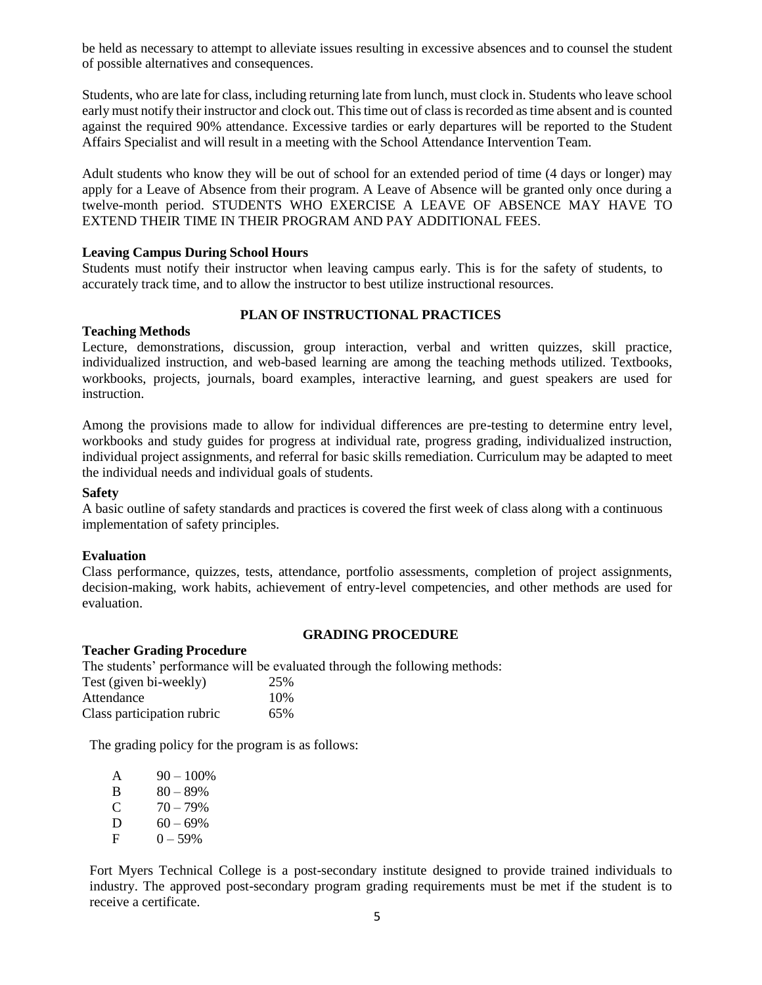be held as necessary to attempt to alleviate issues resulting in excessive absences and to counsel the student of possible alternatives and consequences.

Students, who are late for class, including returning late from lunch, must clock in. Students who leave school early must notify their instructor and clock out. Thistime out of classisrecorded astime absent and is counted against the required 90% attendance. Excessive tardies or early departures will be reported to the Student Affairs Specialist and will result in a meeting with the School Attendance Intervention Team.

Adult students who know they will be out of school for an extended period of time (4 days or longer) may apply for a Leave of Absence from their program. A Leave of Absence will be granted only once during a twelve-month period. STUDENTS WHO EXERCISE A LEAVE OF ABSENCE MAY HAVE TO EXTEND THEIR TIME IN THEIR PROGRAM AND PAY ADDITIONAL FEES.

# **Leaving Campus During School Hours**

Students must notify their instructor when leaving campus early. This is for the safety of students, to accurately track time, and to allow the instructor to best utilize instructional resources.

# **PLAN OF INSTRUCTIONAL PRACTICES**

#### **Teaching Methods**

Lecture, demonstrations, discussion, group interaction, verbal and written quizzes, skill practice, individualized instruction, and web-based learning are among the teaching methods utilized. Textbooks, workbooks, projects, journals, board examples, interactive learning, and guest speakers are used for instruction.

Among the provisions made to allow for individual differences are pre-testing to determine entry level, workbooks and study guides for progress at individual rate, progress grading, individualized instruction, individual project assignments, and referral for basic skills remediation. Curriculum may be adapted to meet the individual needs and individual goals of students.

#### **Safety**

A basic outline of safety standards and practices is covered the first week of class along with a continuous implementation of safety principles.

#### **Evaluation**

Class performance, quizzes, tests, attendance, portfolio assessments, completion of project assignments, decision-making, work habits, achievement of entry-level competencies, and other methods are used for evaluation.

#### **GRADING PROCEDURE**

#### **Teacher Grading Procedure**

The students' performance will be evaluated through the following methods:

| Test (given bi-weekly)     | 25% |
|----------------------------|-----|
| Attendance                 | 10% |
| Class participation rubric | 65% |

The grading policy for the program is as follows:

| $\mathsf{A}$ | $90 - 100\%$ |
|--------------|--------------|
| B            | $80 - 89%$   |
| C            | $70 - 79%$   |
| D            | $60 - 69\%$  |
| F            | $0 - 59\%$   |

Fort Myers Technical College is a post-secondary institute designed to provide trained individuals to industry. The approved post-secondary program grading requirements must be met if the student is to receive a certificate.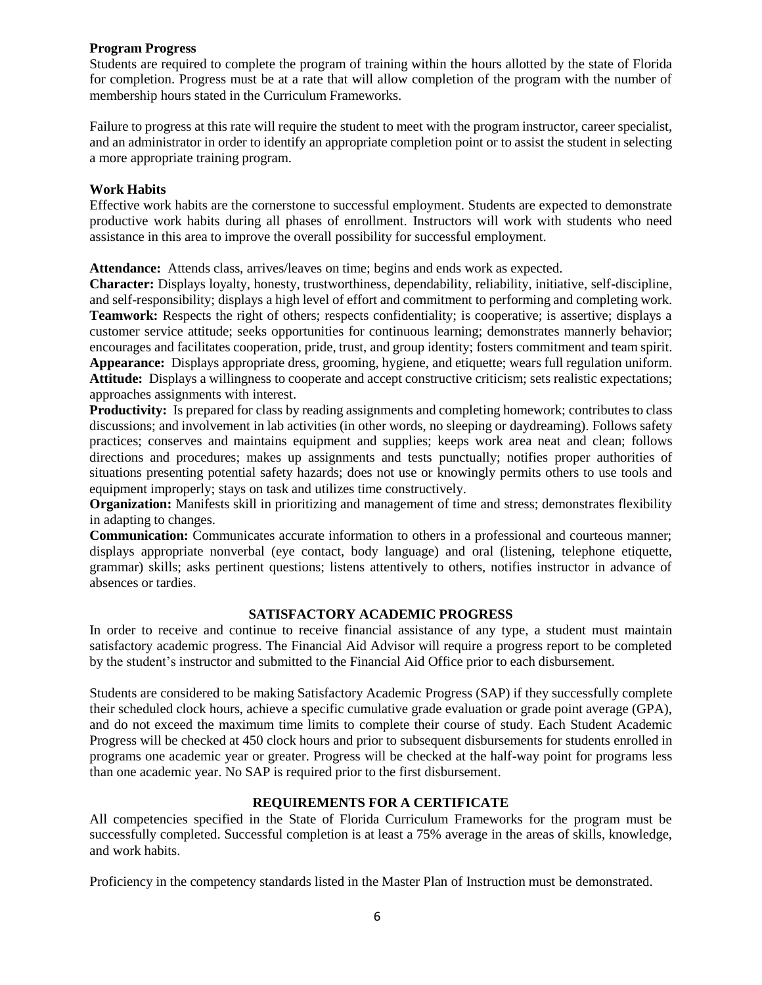# **Program Progress**

Students are required to complete the program of training within the hours allotted by the state of Florida for completion. Progress must be at a rate that will allow completion of the program with the number of membership hours stated in the Curriculum Frameworks.

Failure to progress at this rate will require the student to meet with the program instructor, career specialist, and an administrator in order to identify an appropriate completion point or to assist the student in selecting a more appropriate training program.

#### **Work Habits**

Effective work habits are the cornerstone to successful employment. Students are expected to demonstrate productive work habits during all phases of enrollment. Instructors will work with students who need assistance in this area to improve the overall possibility for successful employment.

**Attendance:** Attends class, arrives/leaves on time; begins and ends work as expected.

**Character:** Displays loyalty, honesty, trustworthiness, dependability, reliability, initiative, self-discipline, and self-responsibility; displays a high level of effort and commitment to performing and completing work. **Teamwork:** Respects the right of others; respects confidentiality; is cooperative; is assertive; displays a customer service attitude; seeks opportunities for continuous learning; demonstrates mannerly behavior; encourages and facilitates cooperation, pride, trust, and group identity; fosters commitment and team spirit. **Appearance:** Displays appropriate dress, grooming, hygiene, and etiquette; wears full regulation uniform. **Attitude:** Displays a willingness to cooperate and accept constructive criticism; sets realistic expectations; approaches assignments with interest.

**Productivity:** Is prepared for class by reading assignments and completing homework; contributes to class discussions; and involvement in lab activities (in other words, no sleeping or daydreaming). Follows safety practices; conserves and maintains equipment and supplies; keeps work area neat and clean; follows directions and procedures; makes up assignments and tests punctually; notifies proper authorities of situations presenting potential safety hazards; does not use or knowingly permits others to use tools and equipment improperly; stays on task and utilizes time constructively.

**Organization:** Manifests skill in prioritizing and management of time and stress; demonstrates flexibility in adapting to changes.

**Communication:** Communicates accurate information to others in a professional and courteous manner; displays appropriate nonverbal (eye contact, body language) and oral (listening, telephone etiquette, grammar) skills; asks pertinent questions; listens attentively to others, notifies instructor in advance of absences or tardies.

# **SATISFACTORY ACADEMIC PROGRESS**

In order to receive and continue to receive financial assistance of any type, a student must maintain satisfactory academic progress. The Financial Aid Advisor will require a progress report to be completed by the student's instructor and submitted to the Financial Aid Office prior to each disbursement.

Students are considered to be making Satisfactory Academic Progress (SAP) if they successfully complete their scheduled clock hours, achieve a specific cumulative grade evaluation or grade point average (GPA), and do not exceed the maximum time limits to complete their course of study. Each Student Academic Progress will be checked at 450 clock hours and prior to subsequent disbursements for students enrolled in programs one academic year or greater. Progress will be checked at the half-way point for programs less than one academic year. No SAP is required prior to the first disbursement.

# **REQUIREMENTS FOR A CERTIFICATE**

All competencies specified in the State of Florida Curriculum Frameworks for the program must be successfully completed. Successful completion is at least a 75% average in the areas of skills, knowledge, and work habits.

Proficiency in the competency standards listed in the Master Plan of Instruction must be demonstrated.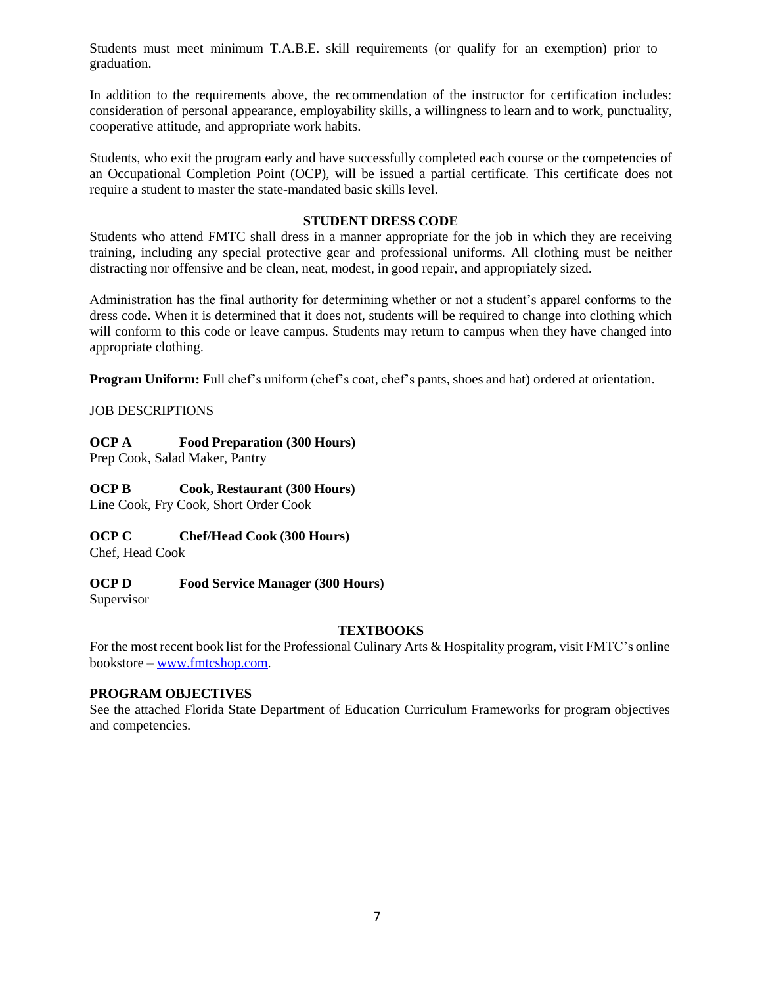Students must meet minimum T.A.B.E. skill requirements (or qualify for an exemption) prior to graduation.

In addition to the requirements above, the recommendation of the instructor for certification includes: consideration of personal appearance, employability skills, a willingness to learn and to work, punctuality, cooperative attitude, and appropriate work habits.

Students, who exit the program early and have successfully completed each course or the competencies of an Occupational Completion Point (OCP), will be issued a partial certificate. This certificate does not require a student to master the state-mandated basic skills level.

## **STUDENT DRESS CODE**

Students who attend FMTC shall dress in a manner appropriate for the job in which they are receiving training, including any special protective gear and professional uniforms. All clothing must be neither distracting nor offensive and be clean, neat, modest, in good repair, and appropriately sized.

Administration has the final authority for determining whether or not a student's apparel conforms to the dress code. When it is determined that it does not, students will be required to change into clothing which will conform to this code or leave campus. Students may return to campus when they have changed into appropriate clothing.

**Program Uniform:** Full chef's uniform (chef's coat, chef's pants, shoes and hat) ordered at orientation.

# JOB DESCRIPTIONS

# **OCP A Food Preparation (300 Hours)**

Prep Cook, Salad Maker, Pantry

# **OCP B Cook, Restaurant (300 Hours)**

Line Cook, Fry Cook, Short Order Cook

# **OCP C Chef/Head Cook (300 Hours)**

Chef, Head Cook

# **OCP D Food Service Manager (300 Hours)**

Supervisor

# **TEXTBOOKS**

For the most recent book list for the Professional Culinary Arts & Hospitality program, visit FMTC's online bookstore – [www.fmtcshop.com.](http://www.fmtcshop.com/)

# **PROGRAM OBJECTIVES**

See the attached Florida State Department of Education Curriculum Frameworks for program objectives and competencies.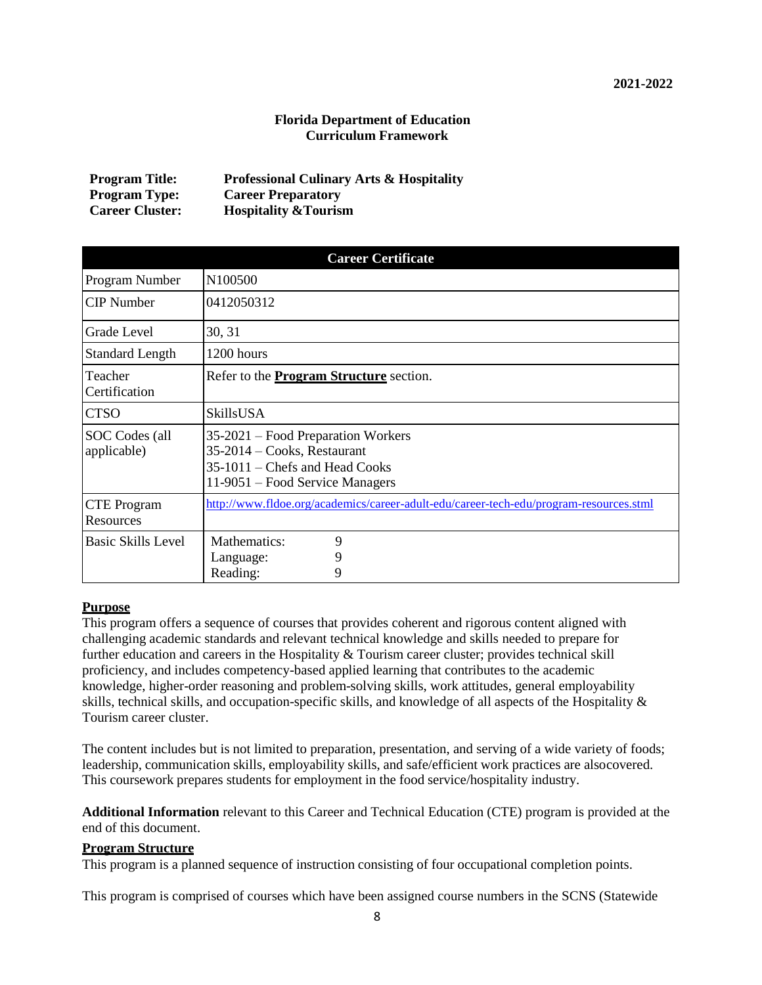# **Florida Department of Education Curriculum Framework**

| <b>Program Title:</b>  | <b>Professional Culinary Arts &amp; Hospitality</b> |
|------------------------|-----------------------------------------------------|
| <b>Program Type:</b>   | <b>Career Preparatory</b>                           |
| <b>Career Cluster:</b> | <b>Hospitality &amp; Tourism</b>                    |

| <b>Career Certificate</b>       |                                                                                                                                          |  |  |  |  |
|---------------------------------|------------------------------------------------------------------------------------------------------------------------------------------|--|--|--|--|
| Program Number                  | N <sub>100500</sub>                                                                                                                      |  |  |  |  |
| <b>CIP</b> Number               | 0412050312                                                                                                                               |  |  |  |  |
| Grade Level                     | 30, 31                                                                                                                                   |  |  |  |  |
| <b>Standard Length</b>          | 1200 hours                                                                                                                               |  |  |  |  |
| Teacher<br>Certification        | Refer to the <b>Program Structure</b> section.                                                                                           |  |  |  |  |
| <b>CTSO</b>                     | SkillsUSA                                                                                                                                |  |  |  |  |
| SOC Codes (all<br>applicable)   | 35-2021 – Food Preparation Workers<br>$35-2014$ – Cooks, Restaurant<br>35-1011 – Chefs and Head Cooks<br>11-9051 – Food Service Managers |  |  |  |  |
| <b>CTE</b> Program<br>Resources | http://www.fldoe.org/academics/career-adult-edu/career-tech-edu/program-resources.stml                                                   |  |  |  |  |
| <b>Basic Skills Level</b>       | Mathematics:<br>9<br>9<br>Language:<br>Reading:<br>9                                                                                     |  |  |  |  |

#### **Purpose**

This program offers a sequence of courses that provides coherent and rigorous content aligned with challenging academic standards and relevant technical knowledge and skills needed to prepare for further education and careers in the Hospitality & Tourism career cluster; provides technical skill proficiency, and includes competency-based applied learning that contributes to the academic knowledge, higher-order reasoning and problem-solving skills, work attitudes, general employability skills, technical skills, and occupation-specific skills, and knowledge of all aspects of the Hospitality & Tourism career cluster.

The content includes but is not limited to preparation, presentation, and serving of a wide variety of foods; leadership, communication skills, employability skills, and safe/efficient work practices are alsocovered. This coursework prepares students for employment in the food service/hospitality industry.

**Additional Information** relevant to this Career and Technical Education (CTE) program is provided at the end of this document.

#### **Program Structure**

This program is a planned sequence of instruction consisting of four occupational completion points.

This program is comprised of courses which have been assigned course numbers in the SCNS (Statewide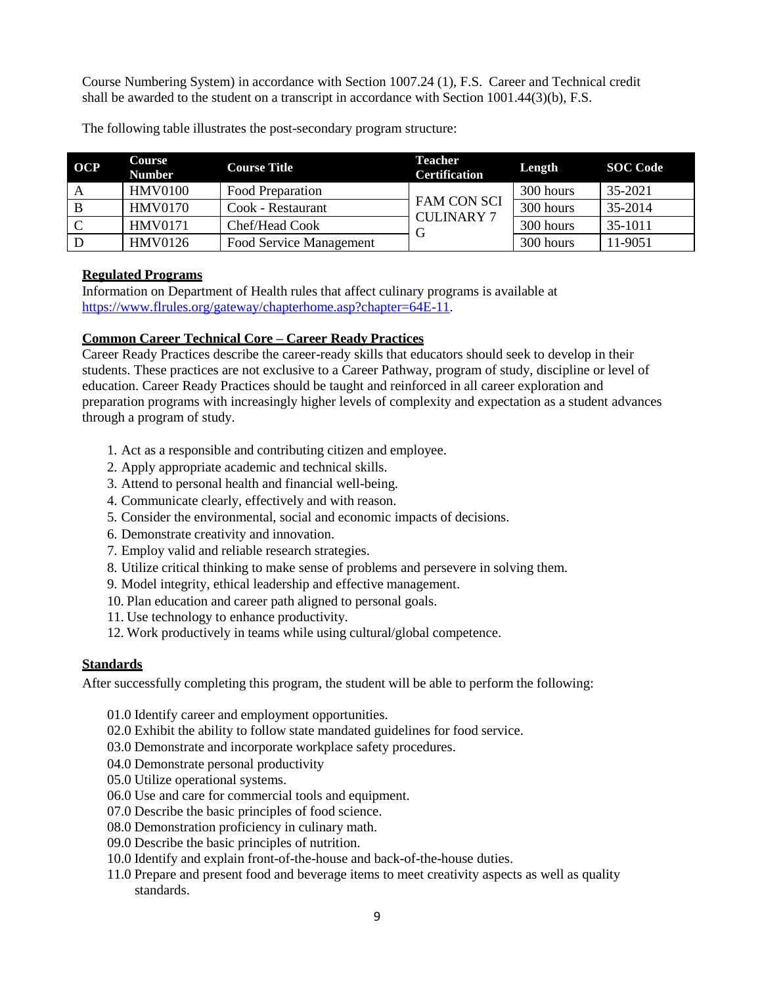Course Numbering System) in accordance with Section 1007.24 (1), F.S. Career and Technical credit shall be awarded to the student on a transcript in accordance with Section 1001.44(3)(b), F.S.

| <b>OCP</b> | Course<br><b>Number</b> | <b>Course Title</b>     | Teacher<br><b>Certification</b>         | Length    | <b>SOC</b> Code |
|------------|-------------------------|-------------------------|-----------------------------------------|-----------|-----------------|
|            | <b>HMV0100</b>          | Food Preparation        |                                         | 300 hours | 35-2021         |
|            | <b>HMV0170</b>          | Cook - Restaurant       | <b>FAM CON SCI</b><br><b>CULINARY 7</b> | 300 hours | 35-2014         |
| C          | <b>HMV0171</b>          | Chef/Head Cook          |                                         | 300 hours | 35-1011         |
|            | <b>HMV0126</b>          | Food Service Management |                                         | 300 hours | 11-9051         |

The following table illustrates the post-secondary program structure:

# **Regulated Programs**

Information on Department of Health rules that affect culinary programs is available at [https://www.flrules.org/gateway/chapterhome.asp?chapter=64E-11.](https://www.flrules.org/gateway/chapterhome.asp?chapter=64E-11)

# **Common Career Technical Core – Career Ready Practices**

Career Ready Practices describe the career-ready skills that educators should seek to develop in their students. These practices are not exclusive to a Career Pathway, program of study, discipline or level of education. Career Ready Practices should be taught and reinforced in all career exploration and preparation programs with increasingly higher levels of complexity and expectation as a student advances through a program of study.

- 1. Act as a responsible and contributing citizen and employee.
- 2. Apply appropriate academic and technical skills.
- 3. Attend to personal health and financial well-being.
- 4. Communicate clearly, effectively and with reason.
- 5. Consider the environmental, social and economic impacts of decisions.
- 6. Demonstrate creativity and innovation.
- 7. Employ valid and reliable research strategies.
- 8. Utilize critical thinking to make sense of problems and persevere in solving them.
- 9. Model integrity, ethical leadership and effective management.
- 10. Plan education and career path aligned to personal goals.
- 11. Use technology to enhance productivity.
- 12. Work productively in teams while using cultural/global competence.

# **Standards**

After successfully completing this program, the student will be able to perform the following:

- 01.0 Identify career and employment opportunities.
- 02.0 Exhibit the ability to follow state mandated guidelines for food service.
- 03.0 Demonstrate and incorporate workplace safety procedures.
- 04.0 Demonstrate personal productivity
- 05.0 Utilize operational systems.
- 06.0 Use and care for commercial tools and equipment.
- 07.0 Describe the basic principles of food science.
- 08.0 Demonstration proficiency in culinary math.
- 09.0 Describe the basic principles of nutrition.
- 10.0 Identify and explain front-of-the-house and back-of-the-house duties.
- 11.0 Prepare and present food and beverage items to meet creativity aspects as well as quality standards.